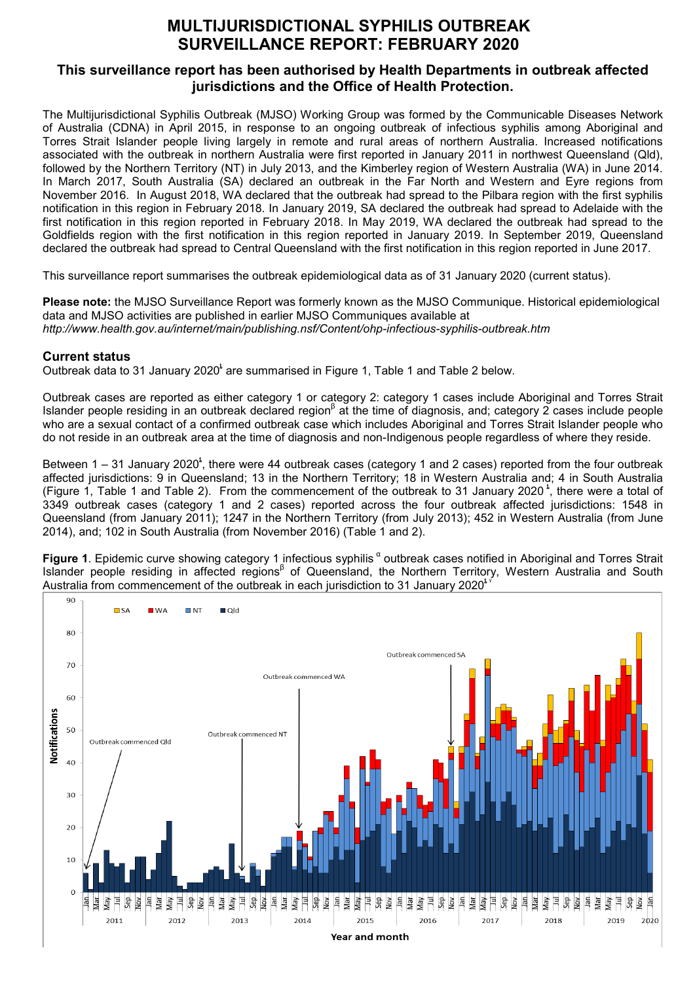## **MULTIJURISDICTIONAL SYPHILIS OUTBREAK SURVEILLANCE REPORT: FEBRUARY 2020**

## **This surveillance report has been authorised by Health Departments in outbreak affected jurisdictions and the Office of Health Protection.**

The Multijurisdictional Syphilis Outbreak (MJSO) Working Group was formed by the Communicable Diseases Network of Australia (CDNA) in April 2015, in response to an ongoing outbreak of infectious syphilis among Aboriginal and Torres Strait Islander people living largely in remote and rural areas of northern Australia. Increased notifications associated with the outbreak in northern Australia were first reported in January 2011 in northwest Queensland (Qld), followed by the Northern Territory (NT) in July 2013, and the Kimberley region of Western Australia (WA) in June 2014. In March 2017, South Australia (SA) declared an outbreak in the Far North and Western and Eyre regions from November 2016. In August 2018, WA declared that the outbreak had spread to the Pilbara region with the first syphilis notification in this region in February 2018. In January 2019, SA declared the outbreak had spread to Adelaide with the first notification in this region reported in February 2018. In May 2019, WA declared the outbreak had spread to the Goldfields region with the first notification in this region reported in January 2019. In September 2019, Queensland declared the outbreak had spread to Central Queensland with the first notification in this region reported in June 2017.

This surveillance report summarises the outbreak epidemiological data as of 31 January 2020 (current status).

**Please note:** the MJSO Surveillance Report was formerly known as the MJSO Communique. Historical epidemiological data and MJSO activities are published in earlier MJSO Communiques available at *http://www.health.gov.au/internet/main/publishing.nsf/Content/ohp-infectious-syphilis-outbreak.htm* 

## **Current status**

Outbreak data to 31 January 2020<sup>t</sup> are summarised in Figure 1, Table 1 and Table 2 below.

Outbreak cases are reported as either category 1 or category 2: category 1 cases include Aboriginal and Torres Strait Islander people residing in an outbreak declared region<sup>β</sup> at the time of diagnosis, and; category 2 cases include people who are a sexual contact of a confirmed outbreak case which includes Aboriginal and Torres Strait Islander people who do not reside in an outbreak area at the time of diagnosis and non-Indigenous people regardless of where they reside.

Between 1 – 31 January 2020<sup>t</sup>, there were 44 outbreak cases (category 1 and 2 cases) reported from the four outbreak affected jurisdictions: 9 in Queensland; 13 in the Northern Territory; 18 in Western Australia and; 4 in South Australia (Figure 1, Table 1 and Table 2). From the commencement of the outbreak to 31 January 2020<sup>t</sup>, there were a total of 3349 outbreak cases (category 1 and 2 cases) reported across the four outbreak affected jurisdictions: 1548 in Queensland (from January 2011); 1247 in the Northern Territory (from July 2013); 452 in Western Australia (from June 2014), and; 102 in South Australia (from November 2016) (Table 1 and 2).

**Figure 1**. Epidemic curve showing category 1 infectious syphilis <sup>α</sup> outbreak cases notified in Aboriginal and Torres Strait Islander people residing in affected regions<sup>β</sup> of Queensland, the Northern Territory, Western Australia and South Australia from commencement of the outbreak in each jurisdiction to 31 January 2020 $^{\circ}$